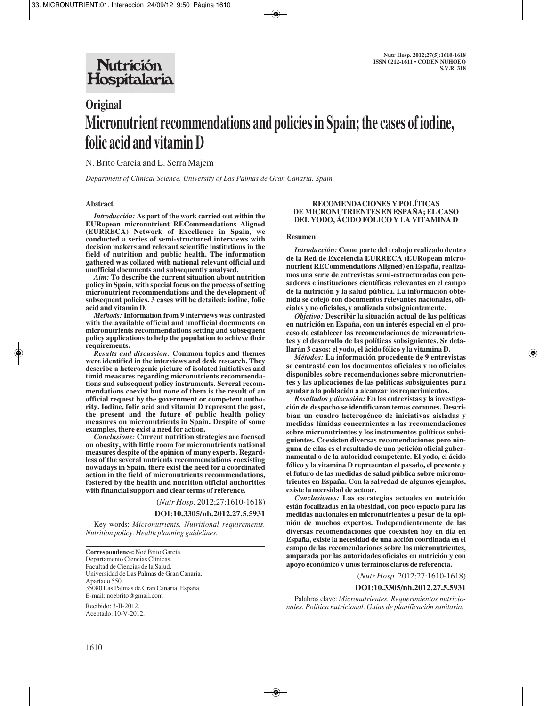# **Original Micronutrient recommendations and policies in Spain; the cases of iodine, folic acid and vitamin D**

N. Brito García and L. Serra Majem

*Department of Clinical Science. University of Las Palmas de Gran Canaria. Spain.*

## **Abstract**

*Introducción:* **As part of the work carried out within the EURopean micronutrient RECommendations Aligned (EURRECA) Network of Excellence in Spain, we conducted a series of semi-structured interviews with decision makers and relevant scientific institutions in the field of nutrition and public health. The information gathered was collated with national relevant official and unofficial documents and subsequently analysed.**

*Aim:* **To describe the current situation about nutrition policy in Spain, with special focus on the process of setting micronutrient recommendations and the development of subsequent policies. 3 cases will be detailed: iodine, folic acid and vitamin D.**

*Methods:* **Information from 9 interviews was contrasted with the available official and unofficial documents on micronutrients recommendations setting and subsequent policy applications to help the population to achieve their requirements.**

*Results and discussion:* **Common topics and themes were identified in the interviews and desk research. They describe a heterogenic picture of isolated initiatives and timid measures regarding micronutrients recommendations and subsequent policy instruments. Several recommendations coexist but none of them is the result of an official request by the government or competent authority. Iodine, folic acid and vitamin D represent the past, the present and the future of public health policy measures on micronutrients in Spain. Despite of some examples, there exist a need for action.**

*Conclusions:* **Current nutrition strategies are focused on obesity, with little room for micronutrients national measures despite of the opinion of many experts. Regardless of the several nutrients recommendations coexisting nowadays in Spain, there exist the need for a coordinated action in the field of micronutrients recommendations, fostered by the health and nutrition official authorities with financial support and clear terms of reference.**

(*Nutr Hosp.* 2012;27:1610-1618)

**DOI:10.3305/nh.2012.27.5.5931**

Key words: *Micronutrients. Nutritional requirements. Nutrition policy. Health planning guidelines.*

**Correspondence:** Noé Brito García. Departamento Ciencias Clínicas. Facultad de Ciencias de la Salud. Universidad de Las Palmas de Gran Canaria. Apartado 550. 35080 Las Palmas de Gran Canaria. España. E-mail: noebrito@gmail.com

Recibido: 3-II-2012. Aceptado: 10-V-2012.

### **RECOMENDACIONES Y POLÍTICAS DE MICRONUTRIENTES EN ESPAÑA; EL CASO DEL YODO, ÁCIDO FÓLICO Y LA VITAMINA D**

#### **Resumen**

*Introducción:* **Como parte del trabajo realizado dentro de la Red de Excelencia EURRECA (EURopean micronutrient RECommendations Aligned) en España, realizamos una serie de entrevistas semi-estructuradas con pensadores e instituciones científicas relevantes en el campo de la nutrición y la salud pública. La información obtenida se cotejó con documentos relevantes nacionales, oficiales y no oficiales, y analizada subsiguientemente.** 

*Objetivo:* **Describir la situación actual de las políticas en nutrición en España, con un interés especial en el proceso de establecer las recomendaciones de micronutrientes y el desarrollo de las políticas subsiguientes. Se detallarán 3 casos: el yodo, el ácido fólico y la vitamina D.**

*Métodos:* **La información procedente de 9 entrevistas se contrastó con los documentos oficiales y no oficiales disponibles sobre recomendaciones sobre micronutrientes y las aplicaciones de las políticas subsiguientes para ayudar a la población a alcanzar los requerimientos.** 

*Resultados y discusión:* **En las entrevistas y la investigación de despacho se identificaron temas comunes. Describían un cuadro heterogéneo de iniciativas aisladas y medidas tímidas concernientes a las recomendaciones sobre micronutrientes y los instrumentos políticos subsiguientes. Coexisten diversas recomendaciones pero ninguna de ellas es el resultado de una petición oficial gubernamental o de la autoridad competente. El yodo, el ácido fólico y la vitamina D representan el pasado, el presente y el futuro de las medidas de salud pública sobre micronutrientes en España. Con la salvedad de algunos ejemplos, existe la necesidad de actuar.** 

*Conclusiones:* **Las estrategias actuales en nutrición están focalizadas en la obesidad, con poco espacio para las medidas nacionales en micronutrientes a pesar de la opinión de muchos expertos. Independientemente de las diversas recomendaciones que coexisten hoy en día en España, existe la necesidad de una acción coordinada en el campo de las recomendaciones sobre los micronutrientes, amparada por las autoridades oficiales en nutrición y con apoyo económico y unos términos claros de referencia.**

(*Nutr Hosp.* 2012;27:1610-1618)

#### **DOI:10.3305/nh.2012.27.5.5931**

Palabras clave: *Micronutrientes. Requerimientos nutricionales. Política nutricional. Guías de planificación sanitaria.*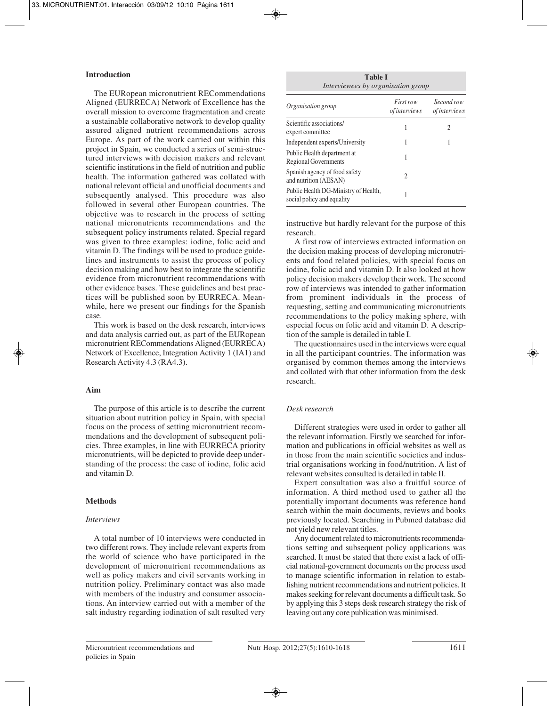# **Introduction**

The EURopean micronutrient RECommendations Aligned (EURRECA) Network of Excellence has the overall mission to overcome fragmentation and create a sustainable collaborative network to develop quality assured aligned nutrient recommendations across Europe. As part of the work carried out within this project in Spain, we conducted a series of semi-structured interviews with decision makers and relevant scientific institutions in the field of nutrition and public health. The information gathered was collated with national relevant official and unofficial documents and subsequently analysed. This procedure was also followed in several other European countries. The objective was to research in the process of setting national micronutrients recommendations and the subsequent policy instruments related. Special regard was given to three examples: iodine, folic acid and vitamin D. The findings will be used to produce guidelines and instruments to assist the process of policy decision making and how best to integrate the scientific evidence from micronutrient recommendations with other evidence bases. These guidelines and best practices will be published soon by EURRECA. Meanwhile, here we present our findings for the Spanish case.

This work is based on the desk research, interviews and data analysis carried out, as part of the EURopean micronutrient RECommendations Aligned (EURRECA) Network of Excellence, Integration Activity 1 (IA1) and Research Activity 4.3 (RA4.3).

### **Aim**

The purpose of this article is to describe the current situation about nutrition policy in Spain, with special focus on the process of setting micronutrient recommendations and the development of subsequent policies. Three examples, in line with EURRECA priority micronutrients, will be depicted to provide deep understanding of the process: the case of iodine, folic acid and vitamin D.

# **Methods**

### *Interviews*

A total number of 10 interviews were conducted in two different rows. They include relevant experts from the world of science who have participated in the development of micronutrient recommendations as well as policy makers and civil servants working in nutrition policy. Preliminary contact was also made with members of the industry and consumer associations. An interview carried out with a member of the salt industry regarding iodination of salt resulted very

| <b>Table I</b>                     |  |  |
|------------------------------------|--|--|
| Interviewees by organisation group |  |  |

| Organisation group                                                 | First row<br><i>of interviews</i> | Second row<br><i>of interviews</i> |
|--------------------------------------------------------------------|-----------------------------------|------------------------------------|
| Scientific associations/<br>expert committee                       |                                   | 2                                  |
| Independent experts/University                                     |                                   |                                    |
| Public Health department at<br><b>Regional Governments</b>         |                                   |                                    |
| Spanish agency of food safety<br>and nutrition (AESAN)             | 2                                 |                                    |
| Public Health DG-Ministry of Health,<br>social policy and equality |                                   |                                    |

instructive but hardly relevant for the purpose of this research.

A first row of interviews extracted information on the decision making process of developing micronutrients and food related policies, with special focus on iodine, folic acid and vitamin D. It also looked at how policy decision makers develop their work. The second row of interviews was intended to gather information from prominent individuals in the process of requesting, setting and communicating micronutrients recommendations to the policy making sphere, with especial focus on folic acid and vitamin D. A description of the sample is detailed in table I.

The questionnaires used in the interviews were equal in all the participant countries. The information was organised by common themes among the interviews and collated with that other information from the desk research.

# *Desk research*

Different strategies were used in order to gather all the relevant information. Firstly we searched for information and publications in official websites as well as in those from the main scientific societies and industrial organisations working in food/nutrition. A list of relevant websites consulted is detailed in table II.

Expert consultation was also a fruitful source of information. A third method used to gather all the potentially important documents was reference hand search within the main documents, reviews and books previously located. Searching in Pubmed database did not yield new relevant titles.

Any document related to micronutrients recommendations setting and subsequent policy applications was searched. It must be stated that there exist a lack of official national-government documents on the process used to manage scientific information in relation to establishing nutrient recommendations and nutrient policies. It makes seeking for relevant documents a difficult task. So by applying this 3 steps desk research strategy the risk of leaving out any core publication was minimised.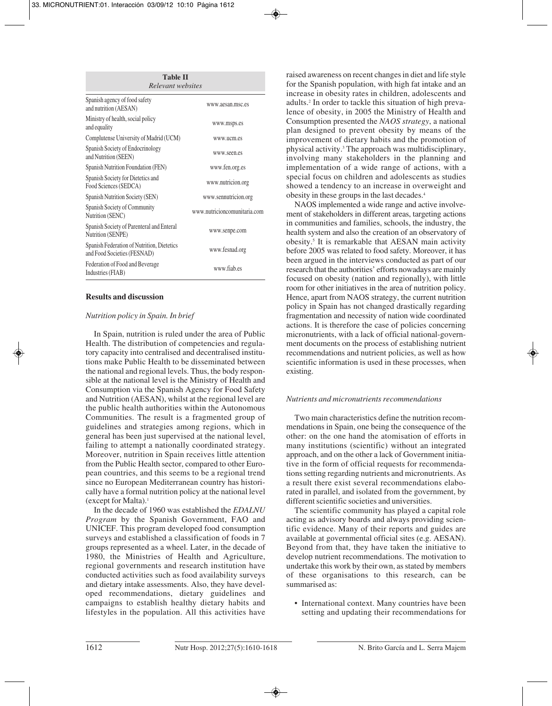| <b>Table II</b><br>Relevant websites                                      |                              |  |  |
|---------------------------------------------------------------------------|------------------------------|--|--|
| Spanish agency of food safety<br>and nutrition (AESAN)                    | www.aesan.msc.es             |  |  |
| Ministry of health, social policy<br>and equality                         | www.msps.es                  |  |  |
| Complutense University of Madrid (UCM)                                    | www.ucm.es                   |  |  |
| Spanish Society of Endocrinology<br>and Nutrition (SEEN)                  | www.seen.es                  |  |  |
| Spanish Nutrition Foundation (FEN)                                        | www.fen.org.es               |  |  |
| Spanish Society for Dietetics and<br>Food Sciences (SEDCA)                | www.nutricion.org            |  |  |
| Spanish Nutrition Society (SEN)                                           | www.sennutricion.org         |  |  |
| Spanish Society of Community<br>Nutrition (SENC)                          | www.nutricioncomunitaria.com |  |  |
| Spanish Society of Parenteral and Enteral<br>Nutrition (SENPE)            | www.senpe.com                |  |  |
| Spanish Federation of Nutrition, Dietetics<br>and Food Societies (FESNAD) | www.fesnad.org               |  |  |
| Federation of Food and Beverage<br>Industries (FIAB)                      | www.fiab.es                  |  |  |

# **Results and discussion**

### *Nutrition policy in Spain. In brief*

In Spain, nutrition is ruled under the area of Public Health. The distribution of competencies and regulatory capacity into centralised and decentralised institutions make Public Health to be disseminated between the national and regional levels. Thus, the body responsible at the national level is the Ministry of Health and Consumption via the Spanish Agency for Food Safety and Nutrition (AESAN), whilst at the regional level are the public health authorities within the Autonomous Communities. The result is a fragmented group of guidelines and strategies among regions, which in general has been just supervised at the national level, failing to attempt a nationally coordinated strategy. Moreover, nutrition in Spain receives little attention from the Public Health sector, compared to other European countries, and this seems to be a regional trend since no European Mediterranean country has historically have a formal nutrition policy at the national level (except for Malta).1

In the decade of 1960 was established the *EDALNU Program* by the Spanish Government, FAO and UNICEF. This program developed food consumption surveys and established a classification of foods in 7 groups represented as a wheel. Later, in the decade of 1980, the Ministries of Health and Agriculture, regional governments and research institution have conducted activities such as food availability surveys and dietary intake assessments. Also, they have developed recommendations, dietary guidelines and campaigns to establish healthy dietary habits and lifestyles in the population. All this activities have

raised awareness on recent changes in diet and life style for the Spanish population, with high fat intake and an increase in obesity rates in children, adolescents and adults.2 In order to tackle this situation of high prevalence of obesity, in 2005 the Ministry of Health and Consumption presented the *NAOS strategy*, a national plan designed to prevent obesity by means of the improvement of dietary habits and the promotion of physical activity.3 The approach was multidisciplinary, involving many stakeholders in the planning and implementation of a wide range of actions, with a special focus on children and adolescents as studies showed a tendency to an increase in overweight and obesity in these groups in the last decades.4

NAOS implemented a wide range and active involvement of stakeholders in different areas, targeting actions in communities and families, schools, the industry, the health system and also the creation of an observatory of obesity.5 It is remarkable that AESAN main activity before 2005 was related to food safety. Moreover, it has been argued in the interviews conducted as part of our research that the authorities' efforts nowadays are mainly focused on obesity (nation and regionally), with little room for other initiatives in the area of nutrition policy. Hence, apart from NAOS strategy, the current nutrition policy in Spain has not changed drastically regarding fragmentation and necessity of nation wide coordinated actions. It is therefore the case of policies concerning micronutrients, with a lack of official national-government documents on the process of establishing nutrient recommendations and nutrient policies, as well as how scientific information is used in these processes, when existing.

### *Nutrients and micronutrients recommendations*

Two main characteristics define the nutrition recommendations in Spain, one being the consequence of the other: on the one hand the atomisation of efforts in many institutions (scientific) without an integrated approach, and on the other a lack of Government initiative in the form of official requests for recommendations setting regarding nutrients and micronutrients. As a result there exist several recommendations elaborated in parallel, and isolated from the government, by different scientific societies and universities.

The scientific community has played a capital role acting as advisory boards and always providing scientific evidence. Many of their reports and guides are available at governmental official sites (e.g. AESAN). Beyond from that, they have taken the initiative to develop nutrient recommendations. The motivation to undertake this work by their own, as stated by members of these organisations to this research, can be summarised as:

• International context. Many countries have been setting and updating their recommendations for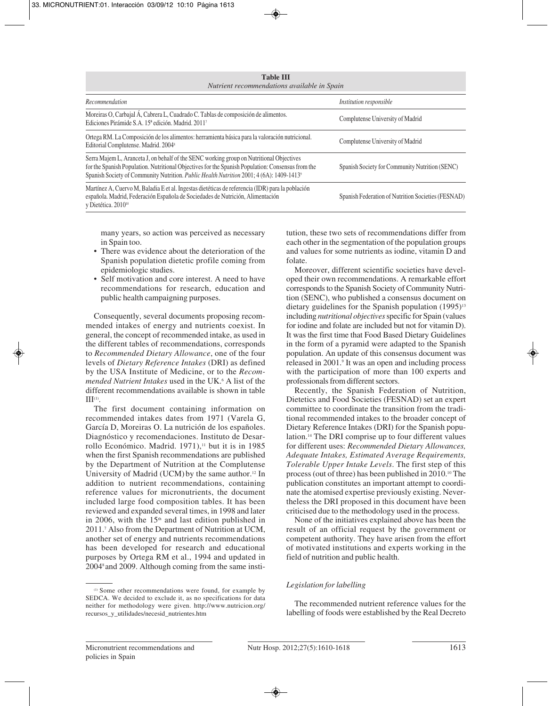| <b>Table III</b><br>Nutrient recommendations available in Spain                                                                                                                                                                                                                                       |                                                    |  |
|-------------------------------------------------------------------------------------------------------------------------------------------------------------------------------------------------------------------------------------------------------------------------------------------------------|----------------------------------------------------|--|
| Recommendation                                                                                                                                                                                                                                                                                        | <i>Institution responsible</i>                     |  |
| Moreiras O, Carbajal Á, Cabrera L, Cuadrado C. Tablas de composición de alimentos.<br>Ediciones Pirámide S.A. 15 <sup>ª</sup> edición. Madrid. 2011 <sup>7</sup>                                                                                                                                      | Complutense University of Madrid                   |  |
| Ortega RM. La Composición de los alimentos: herramienta básica para la valoración nutricional.<br>Editorial Complutense. Madrid. 2004 <sup>8</sup>                                                                                                                                                    | Complutense University of Madrid                   |  |
| Serra Majem L, Aranceta J, on behalf of the SENC working group on Nutritional Objectives<br>for the Spanish Population. Nutritional Objectives for the Spanish Population: Consensus from the<br>Spanish Society of Community Nutrition. Public Health Nutrition 2001; 4 (6A): 1409-1413 <sup>9</sup> | Spanish Society for Community Nutrition (SENC)     |  |
| Martínez A, Cuervo M, Baladia E et al. Ingestas dietéticas de referencia (IDR) para la población<br>española. Madrid, Federación Española de Sociedades de Nutrición, Alimentación<br>v Dietética. 2010 <sup>10</sup>                                                                                 | Spanish Federation of Nutrition Societies (FESNAD) |  |

many years, so action was perceived as necessary in Spain too.

- There was evidence about the deterioration of the Spanish population dietetic profile coming from epidemiologic studies.
- Self motivation and core interest. A need to have recommendations for research, education and public health campaigning purposes.

Consequently, several documents proposing recommended intakes of energy and nutrients coexist. In general, the concept of recommended intake, as used in the different tables of recommendations, corresponds to *Recommended Dietary Allowance*, one of the four levels of *Dietary Reference Intakes* (DRI) as defined by the USA Institute of Medicine, or to the *Recommended Nutrient Intakes* used in the UK.<sup>6</sup> A list of the different recommendations available is shown in table  $III<sup>(1)</sup>$ 

The first document containing information on recommended intakes dates from 1971 (Varela G, García D, Moreiras O. La nutrición de los españoles. Diagnóstico y recomendaciones. Instituto de Desarrollo Económico. Madrid. 1971),<sup>11</sup> but it is in 1985 when the first Spanish recommendations are published by the Department of Nutrition at the Complutense University of Madrid (UCM) by the same author.<sup>12</sup> In addition to nutrient recommendations, containing reference values for micronutrients, the document included large food composition tables. It has been reviewed and expanded several times, in 1998 and later in 2006, with the  $15<sup>th</sup>$  and last edition published in 2011.7 Also from the Department of Nutrition at UCM, another set of energy and nutrients recommendations has been developed for research and educational purposes by Ortega RM et al., 1994 and updated in 20048 and 2009. Although coming from the same insti-

(1) Some other recommendations were found, for example by SEDCA. We decided to exclude it, as no specifications for data neither for methodology were given. http://www.nutricion.org/ recursos\_y\_utilidades/necesid\_nutrientes.htm

tution, these two sets of recommendations differ from each other in the segmentation of the population groups and values for some nutrients as iodine, vitamin D and folate.

Moreover, different scientific societies have developed their own recommendations. A remarkable effort corresponds to the Spanish Society of Community Nutrition (SENC), who published a consensus document on dietary guidelines for the Spanish population  $(1995)^{13}$ including *nutritional objectives*specific for Spain (values for iodine and folate are included but not for vitamin D). It was the first time that Food Based Dietary Guidelines in the form of a pyramid were adapted to the Spanish population. An update of this consensus document was released in 2001.9 It was an open and including process with the participation of more than 100 experts and professionals from different sectors.

Recently, the Spanish Federation of Nutrition, Dietetics and Food Societies (FESNAD) set an expert committee to coordinate the transition from the traditional recommended intakes to the broader concept of Dietary Reference Intakes (DRI) for the Spanish population.14 The DRI comprise up to four different values for different uses: *Recommended Dietary Allowances, Adequate Intakes, Estimated Average Requirements, Tolerable Upper Intake Levels*. The first step of this process (out of three) has been published in 2010.10 The publication constitutes an important attempt to coordinate the atomised expertise previously existing. Nevertheless the DRI proposed in this document have been criticised due to the methodology used in the process.

None of the initiatives explained above has been the result of an official request by the government or competent authority. They have arisen from the effort of motivated institutions and experts working in the field of nutrition and public health.

# *Legislation for labelling*

The recommended nutrient reference values for the labelling of foods were established by the Real Decreto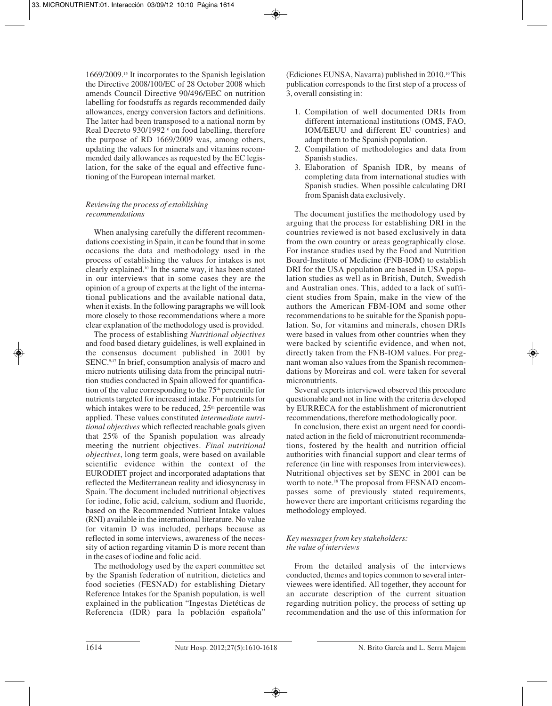1669/2009.15 It incorporates to the Spanish legislation the Directive 2008/100/EC of 28 October 2008 which amends Council Directive 90/496/EEC on nutrition labelling for foodstuffs as regards recommended daily allowances, energy conversion factors and definitions. The latter had been transposed to a national norm by Real Decreto 930/1992<sup>16</sup> on food labelling, therefore the purpose of RD 1669/2009 was, among others, updating the values for minerals and vitamins recommended daily allowances as requested by the EC legislation, for the sake of the equal and effective functioning of the European internal market.

# *Reviewing the process of establishing recommendations*

When analysing carefully the different recommendations coexisting in Spain, it can be found that in some occasions the data and methodology used in the process of establishing the values for intakes is not clearly explained.10 In the same way, it has been stated in our interviews that in some cases they are the opinion of a group of experts at the light of the international publications and the available national data, when it exists. In the following paragraphs we will look more closely to those recommendations where a more clear explanation of the methodology used is provided.

The process of establishing *Nutritional objectives* and food based dietary guidelines, is well explained in the consensus document published in 2001 by SENC.9,17 In brief, consumption analysis of macro and micro nutrients utilising data from the principal nutrition studies conducted in Spain allowed for quantification of the value corresponding to the  $75<sup>th</sup>$  percentile for nutrients targeted for increased intake. For nutrients for which intakes were to be reduced,  $25<sup>th</sup>$  percentile was applied. These values constituted *intermediate nutritional objectives* which reflected reachable goals given that 25% of the Spanish population was already meeting the nutrient objectives. *Final nutritional objectives*, long term goals, were based on available scientific evidence within the context of the EURODIET project and incorporated adaptations that reflected the Mediterranean reality and idiosyncrasy in Spain. The document included nutritional objectives for iodine, folic acid, calcium, sodium and fluoride, based on the Recommended Nutrient Intake values (RNI) available in the international literature. No value for vitamin D was included, perhaps because as reflected in some interviews, awareness of the necessity of action regarding vitamin D is more recent than in the cases of iodine and folic acid.

The methodology used by the expert committee set by the Spanish federation of nutrition, dietetics and food societies (FESNAD) for establishing Dietary Reference Intakes for the Spanish population, is well explained in the publication "Ingestas Dietéticas de Referencia (IDR) para la población española"

(Ediciones EUNSA, Navarra) published in 2010.10 This publication corresponds to the first step of a process of 3, overall consisting in:

- 1. Compilation of well documented DRIs from different international institutions (OMS, FAO, IOM/EEUU and different EU countries) and adapt them to the Spanish population.
- 2. Compilation of methodologies and data from Spanish studies.
- 3. Elaboration of Spanish IDR, by means of completing data from international studies with Spanish studies. When possible calculating DRI from Spanish data exclusively.

The document justifies the methodology used by arguing that the process for establishing DRI in the countries reviewed is not based exclusively in data from the own country or areas geographically close. For instance studies used by the Food and Nutrition Board-Institute of Medicine (FNB-IOM) to establish DRI for the USA population are based in USA population studies as well as in British, Dutch, Swedish and Australian ones. This, added to a lack of sufficient studies from Spain, make in the view of the authors the American FBM-IOM and some other recommendations to be suitable for the Spanish population. So, for vitamins and minerals, chosen DRIs were based in values from other countries when they were backed by scientific evidence, and when not, directly taken from the FNB-IOM values. For pregnant woman also values from the Spanish recommendations by Moreiras and col. were taken for several micronutrients.

Several experts interviewed observed this procedure questionable and not in line with the criteria developed by EURRECA for the establishment of micronutrient recommendations, therefore methodologically poor.

In conclusion, there exist an urgent need for coordinated action in the field of micronutrient recommendations, fostered by the health and nutrition official authorities with financial support and clear terms of reference (in line with responses from interviewees). Nutritional objectives set by SENC in 2001 can be worth to note.<sup>18</sup> The proposal from FESNAD encompasses some of previously stated requirements, however there are important criticisms regarding the methodology employed.

# *Key messages from key stakeholders: the value of interviews*

From the detailed analysis of the interviews conducted, themes and topics common to several interviewees were identified. All together, they account for an accurate description of the current situation regarding nutrition policy, the process of setting up recommendation and the use of this information for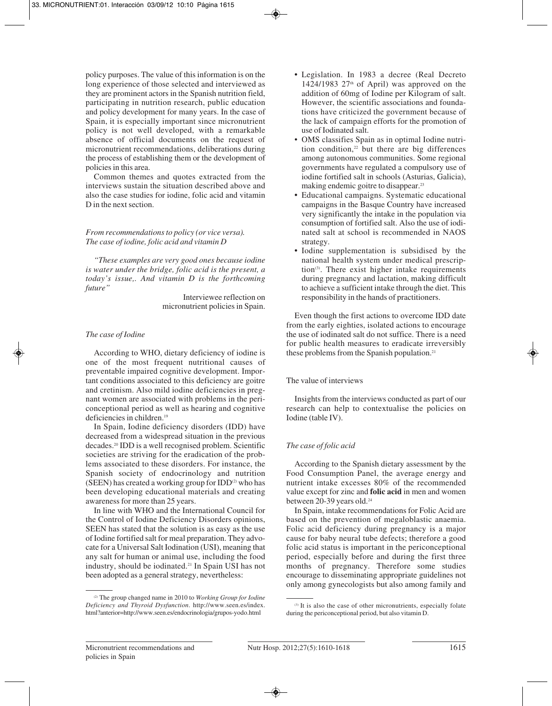policy purposes. The value of this information is on the long experience of those selected and interviewed as they are prominent actors in the Spanish nutrition field, participating in nutrition research, public education and policy development for many years. In the case of Spain, it is especially important since micronutrient policy is not well developed, with a remarkable absence of official documents on the request of micronutrient recommendations, deliberations during the process of establishing them or the development of policies in this area.

Common themes and quotes extracted from the interviews sustain the situation described above and also the case studies for iodine, folic acid and vitamin D in the next section.

# *From recommendations to policy (or vice versa). The case of iodine, folic acid and vitamin D*

*"These examples are very good ones because iodine is water under the bridge, folic acid is the present, a today's issue,. And vitamin D is the forthcoming future"*

> Interviewee reflection on micronutrient policies in Spain.

# *The case of Iodine*

According to WHO, dietary deficiency of iodine is one of the most frequent nutritional causes of preventable impaired cognitive development. Important conditions associated to this deficiency are goitre and cretinism. Also mild iodine deficiencies in pregnant women are associated with problems in the periconceptional period as well as hearing and cognitive deficiencies in children.19

In Spain, Iodine deficiency disorders (IDD) have decreased from a widespread situation in the previous decades.20 IDD is a well recognised problem. Scientific societies are striving for the eradication of the problems associated to these disorders. For instance, the Spanish society of endocrinology and nutrition (SEEN) has created a working group for  $IDD^{(2)}$  who has been developing educational materials and creating awareness for more than 25 years.

In line with WHO and the International Council for the Control of Iodine Deficiency Disorders opinions, SEEN has stated that the solution is as easy as the use of Iodine fortified salt for meal preparation. They advocate for a Universal Salt Iodination (USI), meaning that any salt for human or animal use, including the food industry, should be iodinated.21 In Spain USI has not been adopted as a general strategy, nevertheless:

- Legislation. In 1983 a decree (Real Decreto 1424/1983 27<sup>th</sup> of April) was approved on the addition of 60mg of Iodine per Kilogram of salt. However, the scientific associations and foundations have criticized the government because of the lack of campaign efforts for the promotion of use of Iodinated salt.
- OMS classifies Spain as in optimal Iodine nutrition condition, $22$  but there are big differences among autonomous communities. Some regional governments have regulated a compulsory use of iodine fortified salt in schools (Asturias, Galicia), making endemic goitre to disappear.23
- Educational campaigns. Systematic educational campaigns in the Basque Country have increased very significantly the intake in the population via consumption of fortified salt. Also the use of iodinated salt at school is recommended in NAOS strategy.
- Iodine supplementation is subsidised by the national health system under medical prescription<sup>(3)</sup>. There exist higher intake requirements during pregnancy and lactation, making difficult to achieve a sufficient intake through the diet. This responsibility in the hands of practitioners.

Even though the first actions to overcome IDD date from the early eighties, isolated actions to encourage the use of iodinated salt do not suffice. There is a need for public health measures to eradicate irreversibly these problems from the Spanish population.<sup>21</sup>

# The value of interviews

Insights from the interviews conducted as part of our research can help to contextualise the policies on Iodine (table IV).

# *The case of folic acid*

According to the Spanish dietary assessment by the Food Consumption Panel, the average energy and nutrient intake excesses 80% of the recommended value except for zinc and **folic acid** in men and women between 20-39 years old.<sup>24</sup>

In Spain, intake recommendations for Folic Acid are based on the prevention of megaloblastic anaemia. Folic acid deficiency during pregnancy is a major cause for baby neural tube defects; therefore a good folic acid status is important in the periconceptional period, especially before and during the first three months of pregnancy. Therefore some studies encourage to disseminating appropriate guidelines not only among gynecologists but also among family and

<sup>(2)</sup> The group changed name in 2010 to *Working Group for Iodine Deficiency and Thyroid Dysfunction*. http://www.seen.es/index. html?anterior=http://www.seen.es/endocrinologia/grupos-yodo.html

<sup>(3)</sup> It is also the case of other micronutrients, especially folate during the periconceptional period, but also vitamin D.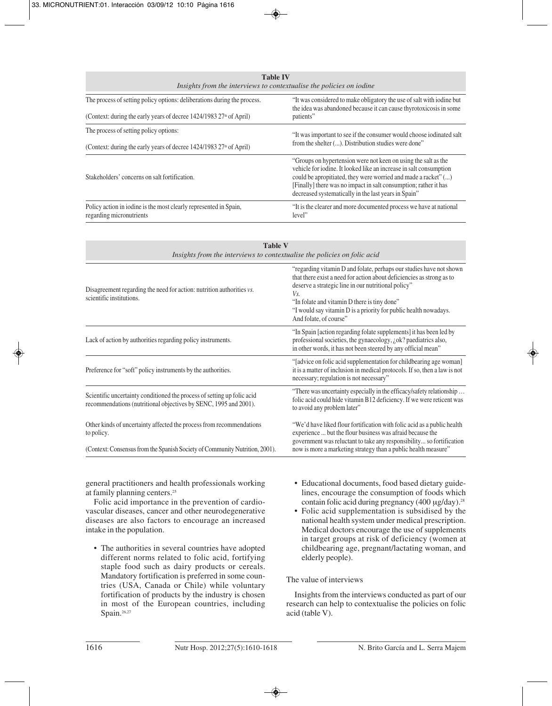| <b>Table IV</b><br>Insights from the interviews to contextualise the policies on iodine       |                                                                                                                                                                                                                                                                                                                                    |  |  |
|-----------------------------------------------------------------------------------------------|------------------------------------------------------------------------------------------------------------------------------------------------------------------------------------------------------------------------------------------------------------------------------------------------------------------------------------|--|--|
| The process of setting policy options: deliberations during the process.                      | "It was considered to make obligatory the use of salt with iodine but<br>the idea was abandoned because it can cause thyrotoxicosis in some                                                                                                                                                                                        |  |  |
| (Context: during the early years of decree 1424/1983 27 <sup>th</sup> of April)               | patients"                                                                                                                                                                                                                                                                                                                          |  |  |
| The process of setting policy options:                                                        | "It was important to see if the consumer would choose iodinated salt<br>from the shelter (). Distribution studies were done"                                                                                                                                                                                                       |  |  |
| (Context: during the early years of decree 1424/1983 27 <sup>th</sup> of April)               |                                                                                                                                                                                                                                                                                                                                    |  |  |
| Stakeholders' concerns on salt fortification.                                                 | "Groups on hypertension were not keen on using the salt as the<br>vehicle for iodine. It looked like an increase in salt consumption<br>could be apropitiated, they were worried and made a racket" ()<br>[Finally] there was no impact in salt consumption; rather it has<br>decreased systematically in the last years in Spain" |  |  |
| Policy action in iodine is the most clearly represented in Spain,<br>regarding micronutrients | "It is the clearer and more documented process we have at national<br>level"                                                                                                                                                                                                                                                       |  |  |

| <b>Table V</b><br>Insights from the interviews to contextualise the policies on folic acid                                                  |                                                                                                                                                                                                                                                                                                                                                          |  |
|---------------------------------------------------------------------------------------------------------------------------------------------|----------------------------------------------------------------------------------------------------------------------------------------------------------------------------------------------------------------------------------------------------------------------------------------------------------------------------------------------------------|--|
| Disagreement regarding the need for action: nutrition authorities vs.<br>scientific institutions.                                           | "regarding vitamin D and folate, perhaps our studies have not shown<br>that there exist a need for action about deficiencies as strong as to<br>deserve a strategic line in our nutritional policy"<br>Vs.<br>"In folate and vitamin D there is tiny done"<br>"I would say vitamin D is a priority for public health nowadays.<br>And folate, of course" |  |
| Lack of action by authorities regarding policy instruments.                                                                                 | "In Spain [action regarding folate supplements] it has been led by<br>professional societies, the gynaecology, ¿ok? paediatrics also,<br>in other words, it has not been steered by any official mean"                                                                                                                                                   |  |
| Preference for "soft" policy instruments by the authorities.                                                                                | "[advice on folic acid supplementation for childbearing age woman]<br>it is a matter of inclusion in medical protocols. If so, then a law is not<br>necessary; regulation is not necessary"                                                                                                                                                              |  |
| Scientific uncertainty conditioned the process of setting up folic acid<br>recommendations (nutritional objectives by SENC, 1995 and 2001). | "There was uncertainty especially in the efficacy/safety relationship<br>folic acid could hide vitamin B12 deficiency. If we were reticent was<br>to avoid any problem later"                                                                                                                                                                            |  |
| Other kinds of uncertainty affected the process from recommendations<br>to policy.                                                          | "We'd have liked flour fortification with folic acid as a public health<br>experience  but the flour business was afraid because the<br>government was reluctant to take any responsibility so fortification                                                                                                                                             |  |
| (Context: Consensus from the Spanish Society of Community Nutrition, 2001).                                                                 | now is more a marketing strategy than a public health measure"                                                                                                                                                                                                                                                                                           |  |

general practitioners and health professionals working at family planning centers.25

Folic acid importance in the prevention of cardiovascular diseases, cancer and other neurodegenerative diseases are also factors to encourage an increased intake in the population.

- The authorities in several countries have adopted different norms related to folic acid, fortifying staple food such as dairy products or cereals. Mandatory fortification is preferred in some countries (USA, Canada or Chile) while voluntary fortification of products by the industry is chosen in most of the European countries, including Spain.<sup>26,27</sup>
- Educational documents, food based dietary guidelines, encourage the consumption of foods which contain folic acid during pregnancy (400 μg/day).<sup>28</sup>
- Folic acid supplementation is subsidised by the national health system under medical prescription. Medical doctors encourage the use of supplements in target groups at risk of deficiency (women at childbearing age, pregnant/lactating woman, and elderly people).

# The value of interviews

Insights from the interviews conducted as part of our research can help to contextualise the policies on folic acid (table V).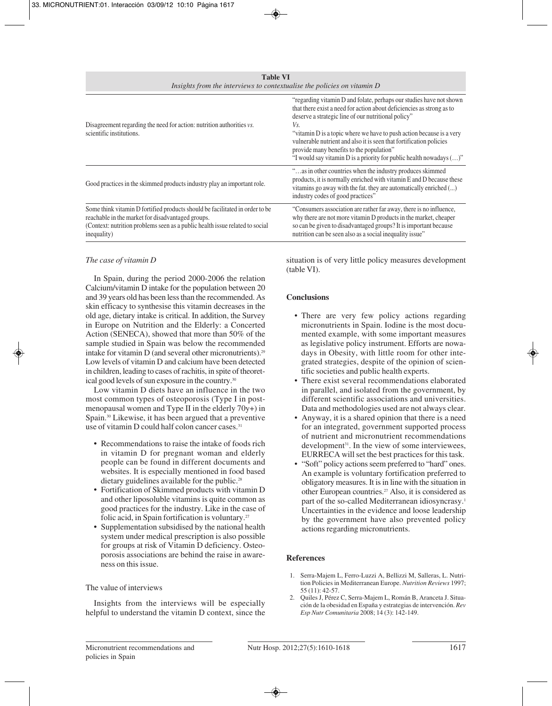**Table VI** *Insights from the interviews to contextualise the policies on vitamin D*

| Disagreement regarding the need for action: nutrition authorities vs.<br>scientific institutions.                                                                                                                                | "regarding vitamin D and folate, perhaps our studies have not shown<br>that there exist a need for action about deficiencies as strong as to<br>deserve a strategic line of our nutritional policy"<br>Vs.<br>"vitamin D is a topic where we have to push action because is a very<br>vulnerable nutrient and also it is seen that fortification policies<br>provide many benefits to the population"<br>"I would say vitamin D is a priority for public health nowadays ()" |
|----------------------------------------------------------------------------------------------------------------------------------------------------------------------------------------------------------------------------------|------------------------------------------------------------------------------------------------------------------------------------------------------------------------------------------------------------------------------------------------------------------------------------------------------------------------------------------------------------------------------------------------------------------------------------------------------------------------------|
| Good practices in the skimmed products industry play an important role.                                                                                                                                                          | "as in other countries when the industry produces skimmed<br>products, it is normally enriched with vitamin E and D because these<br>vitamins go away with the fat. they are automatically enriched ()<br>industry codes of good practices"                                                                                                                                                                                                                                  |
| Some think vitamin D fortified products should be facilitated in order to be<br>reachable in the market for disadvantaged groups.<br>(Context: nutrition problems seen as a public health issue related to social<br>inequality) | "Consumers association are rather far away, there is no influence,<br>why there are not more vitamin D products in the market, cheaper<br>so can be given to disadvantaged groups? It is important because<br>nutrition can be seen also as a social inequality issue"                                                                                                                                                                                                       |

# *The case of vitamin D*

In Spain, during the period 2000-2006 the relation Calcium/vitamin D intake for the population between 20 and 39 years old has been less than the recommended. As skin efficacy to synthesise this vitamin decreases in the old age, dietary intake is critical. In addition, the Survey in Europe on Nutrition and the Elderly: a Concerted Action (SENECA), showed that more than 50% of the sample studied in Spain was below the recommended intake for vitamin  $D$  (and several other micronutrients).<sup>29</sup> Low levels of vitamin D and calcium have been detected in children, leading to cases of rachitis, in spite of theoretical good levels of sun exposure in the country.<sup>30</sup>

Low vitamin D diets have an influence in the two most common types of osteoporosis (Type I in postmenopausal women and Type II in the elderly 70y+) in Spain.30 Likewise, it has been argued that a preventive use of vitamin D could half colon cancer cases.<sup>31</sup>

- Recommendations to raise the intake of foods rich in vitamin D for pregnant woman and elderly people can be found in different documents and websites. It is especially mentioned in food based dietary guidelines available for the public.<sup>28</sup>
- Fortification of Skimmed products with vitamin D and other liposoluble vitamins is quite common as good practices for the industry. Like in the case of folic acid, in Spain fortification is voluntary.<sup>27</sup>
- Supplementation subsidised by the national health system under medical prescription is also possible for groups at risk of Vitamin D deficiency. Osteoporosis associations are behind the raise in awareness on this issue.

# The value of interviews

Insights from the interviews will be especially helpful to understand the vitamin D context, since the

situation is of very little policy measures development (table VI).

# **Conclusions**

- There are very few policy actions regarding micronutrients in Spain. Iodine is the most documented example, with some important measures as legislative policy instrument. Efforts are nowadays in Obesity, with little room for other integrated strategies, despite of the opinion of scientific societies and public health experts.
- There exist several recommendations elaborated in parallel, and isolated from the government, by different scientific associations and universities. Data and methodologies used are not always clear.
- Anyway, it is a shared opinion that there is a need for an integrated, government supported process of nutrient and micronutrient recommendations development<sup>31</sup>. In the view of some interviewees, EURRECA will set the best practices for this task.
- "Soft" policy actions seem preferred to "hard" ones. An example is voluntary fortification preferred to obligatory measures. It is in line with the situation in other European countries.27 Also, it is considered as part of the so-called Mediterranean idiosyncrasy.<sup>1</sup> Uncertainties in the evidence and loose leadership by the government have also prevented policy actions regarding micronutrients.

# **References**

- 1. Serra-Majem L, Ferro-Luzzi A, Bellizzi M, Salleras, L. Nutrition Policies in Mediterranean Europe. *Nutrition Reviews* 1997; 55 (11): 42-57.
- 2. Quiles J, Pérez C, Serra-Majem L, Román B, Aranceta J. Situación de la obesidad en España y estrategias de intervención. *Rev Esp Nutr Comunitaria* 2008; 14 (3): 142-149.